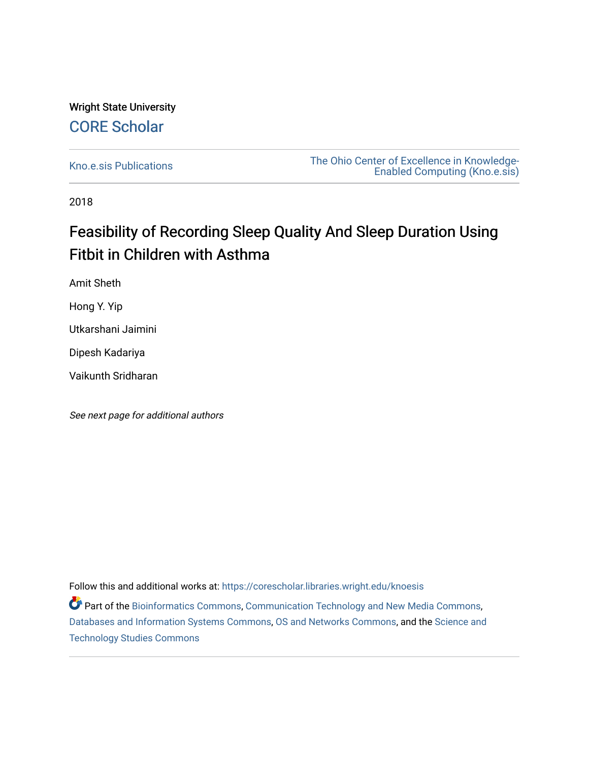### Wright State University [CORE Scholar](https://corescholar.libraries.wright.edu/)

[Kno.e.sis Publications](https://corescholar.libraries.wright.edu/knoesis) [The Ohio Center of Excellence in Knowledge-](https://corescholar.libraries.wright.edu/knoesis_comm)[Enabled Computing \(Kno.e.sis\)](https://corescholar.libraries.wright.edu/knoesis_comm) 

2018

## Feasibility of Recording Sleep Quality And Sleep Duration Using Fitbit in Children with Asthma

Amit Sheth

Hong Y. Yip

Utkarshani Jaimini

Dipesh Kadariya

Vaikunth Sridharan

See next page for additional authors

Follow this and additional works at: [https://corescholar.libraries.wright.edu/knoesis](https://corescholar.libraries.wright.edu/knoesis?utm_source=corescholar.libraries.wright.edu%2Fknoesis%2F1164&utm_medium=PDF&utm_campaign=PDFCoverPages) 

Part of the [Bioinformatics Commons,](http://network.bepress.com/hgg/discipline/110?utm_source=corescholar.libraries.wright.edu%2Fknoesis%2F1164&utm_medium=PDF&utm_campaign=PDFCoverPages) [Communication Technology and New Media Commons,](http://network.bepress.com/hgg/discipline/327?utm_source=corescholar.libraries.wright.edu%2Fknoesis%2F1164&utm_medium=PDF&utm_campaign=PDFCoverPages) [Databases and Information Systems Commons](http://network.bepress.com/hgg/discipline/145?utm_source=corescholar.libraries.wright.edu%2Fknoesis%2F1164&utm_medium=PDF&utm_campaign=PDFCoverPages), [OS and Networks Commons](http://network.bepress.com/hgg/discipline/149?utm_source=corescholar.libraries.wright.edu%2Fknoesis%2F1164&utm_medium=PDF&utm_campaign=PDFCoverPages), and the [Science and](http://network.bepress.com/hgg/discipline/435?utm_source=corescholar.libraries.wright.edu%2Fknoesis%2F1164&utm_medium=PDF&utm_campaign=PDFCoverPages) [Technology Studies Commons](http://network.bepress.com/hgg/discipline/435?utm_source=corescholar.libraries.wright.edu%2Fknoesis%2F1164&utm_medium=PDF&utm_campaign=PDFCoverPages)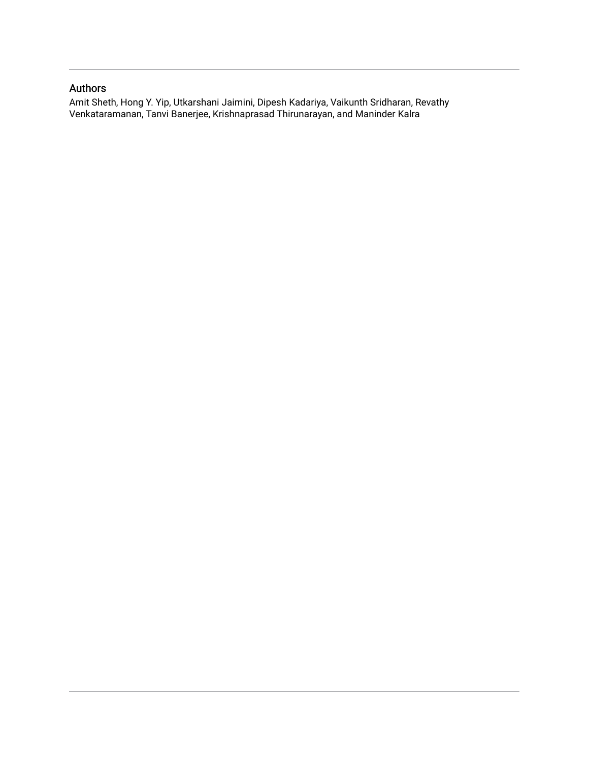#### Authors

Amit Sheth, Hong Y. Yip, Utkarshani Jaimini, Dipesh Kadariya, Vaikunth Sridharan, Revathy Venkataramanan, Tanvi Banerjee, Krishnaprasad Thirunarayan, and Maninder Kalra